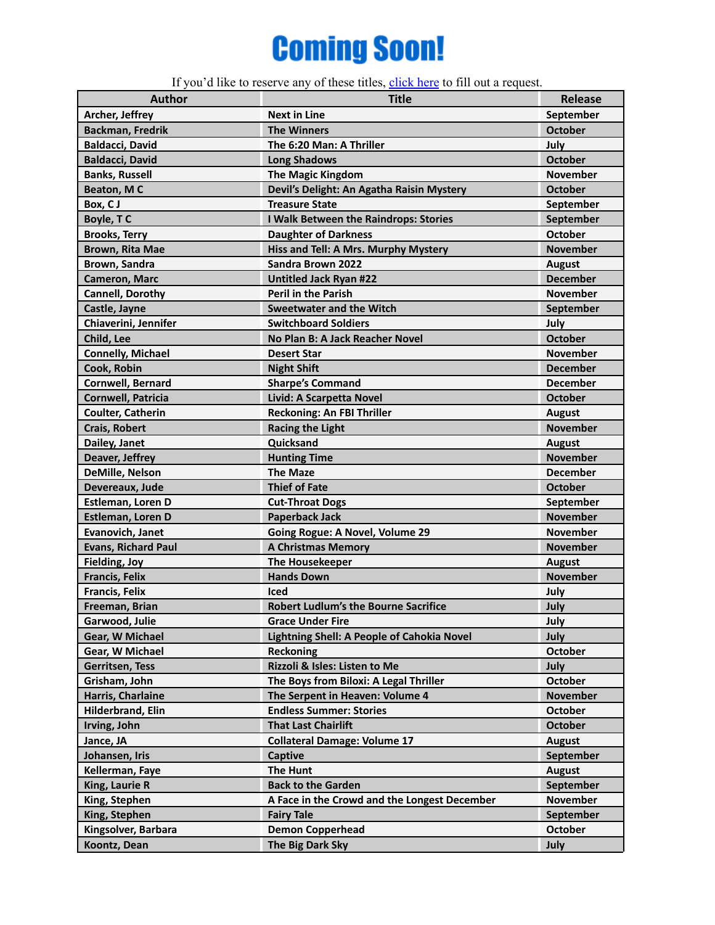## **Coming Soon!**

If you'd like to reserve any of these titles, [click](https://forms.gle/2ELYAGKgNJnDn9sk8) here to fill out a request.

| <b>Author</b>              | <b>Title</b>                                 | <b>Release</b>  |
|----------------------------|----------------------------------------------|-----------------|
| Archer, Jeffrey            | <b>Next in Line</b>                          | September       |
| <b>Backman, Fredrik</b>    | <b>The Winners</b>                           | <b>October</b>  |
| <b>Baldacci, David</b>     | The 6:20 Man: A Thriller                     | July            |
| <b>Baldacci, David</b>     | <b>Long Shadows</b>                          | <b>October</b>  |
| <b>Banks, Russell</b>      | <b>The Magic Kingdom</b>                     | <b>November</b> |
| Beaton, MC                 | Devil's Delight: An Agatha Raisin Mystery    | <b>October</b>  |
| Box, CJ                    | <b>Treasure State</b>                        | September       |
| Boyle, TC                  | I Walk Between the Raindrops: Stories        | September       |
| <b>Brooks, Terry</b>       | <b>Daughter of Darkness</b>                  | <b>October</b>  |
| Brown, Rita Mae            | Hiss and Tell: A Mrs. Murphy Mystery         | <b>November</b> |
| Brown, Sandra              | Sandra Brown 2022                            | <b>August</b>   |
| <b>Cameron, Marc</b>       | Untitled Jack Ryan #22                       | <b>December</b> |
| Cannell, Dorothy           | <b>Peril in the Parish</b>                   | <b>November</b> |
| Castle, Jayne              | <b>Sweetwater and the Witch</b>              | September       |
| Chiaverini, Jennifer       | <b>Switchboard Soldiers</b>                  | July            |
| Child, Lee                 | No Plan B: A Jack Reacher Novel              | <b>October</b>  |
| <b>Connelly, Michael</b>   | <b>Desert Star</b>                           | <b>November</b> |
| Cook, Robin                | <b>Night Shift</b>                           | <b>December</b> |
| <b>Cornwell, Bernard</b>   | <b>Sharpe's Command</b>                      | <b>December</b> |
| <b>Cornwell, Patricia</b>  | Livid: A Scarpetta Novel                     | <b>October</b>  |
| Coulter, Catherin          | <b>Reckoning: An FBI Thriller</b>            | <b>August</b>   |
| Crais, Robert              | <b>Racing the Light</b>                      | <b>November</b> |
| Dailey, Janet              | Quicksand                                    | <b>August</b>   |
| Deaver, Jeffrey            | <b>Hunting Time</b>                          | <b>November</b> |
| DeMille, Nelson            | <b>The Maze</b>                              | <b>December</b> |
| Devereaux, Jude            | <b>Thief of Fate</b>                         | <b>October</b>  |
| Estleman, Loren D          | <b>Cut-Throat Dogs</b>                       | September       |
| Estleman, Loren D          | <b>Paperback Jack</b>                        | <b>November</b> |
| Evanovich, Janet           | Going Rogue: A Novel, Volume 29              | <b>November</b> |
| <b>Evans, Richard Paul</b> | <b>A Christmas Memory</b>                    | <b>November</b> |
| <b>Fielding, Joy</b>       | <b>The Housekeeper</b>                       | <b>August</b>   |
| <b>Francis, Felix</b>      | <b>Hands Down</b>                            | <b>November</b> |
| <b>Francis, Felix</b>      | Iced                                         | July            |
| Freeman, Brian             | <b>Robert Ludlum's the Bourne Sacrifice</b>  | July            |
| Garwood, Julie             | <b>Grace Under Fire</b>                      | July            |
| Gear, W Michael            | Lightning Shell: A People of Cahokia Novel   | July            |
| Gear, W Michael            | Reckoning                                    | <b>October</b>  |
| Gerritsen, Tess            | Rizzoli & Isles: Listen to Me                | July            |
| Grisham, John              | The Boys from Biloxi: A Legal Thriller       | <b>October</b>  |
| Harris, Charlaine          | The Serpent in Heaven: Volume 4              | <b>November</b> |
| Hilderbrand, Elin          | <b>Endless Summer: Stories</b>               | <b>October</b>  |
| Irving, John               | <b>That Last Chairlift</b>                   | <b>October</b>  |
| Jance, JA                  | <b>Collateral Damage: Volume 17</b>          | <b>August</b>   |
| Johansen, Iris             | <b>Captive</b>                               | September       |
| Kellerman, Faye            | <b>The Hunt</b>                              | <b>August</b>   |
| King, Laurie R             | <b>Back to the Garden</b>                    | September       |
| King, Stephen              | A Face in the Crowd and the Longest December | November        |
| King, Stephen              | <b>Fairy Tale</b>                            | September       |
| Kingsolver, Barbara        | <b>Demon Copperhead</b>                      | <b>October</b>  |
| Koontz, Dean               | The Big Dark Sky                             | July            |